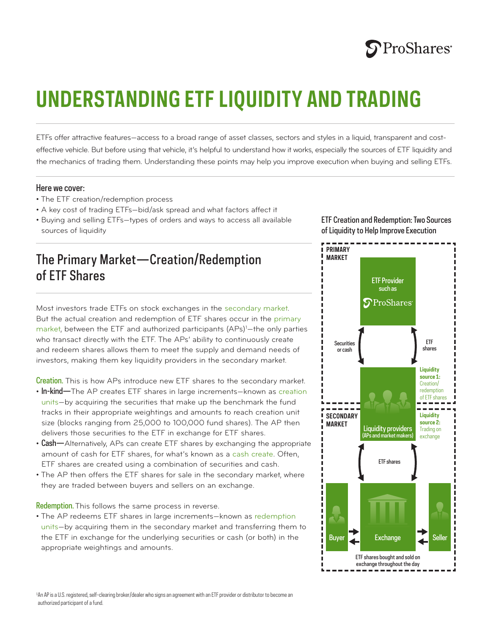

# **UNDERSTANDING ETF LIQUIDITY AND TRADING**

ETFs offer attractive features—access to a broad range of asset classes, sectors and styles in a liquid, transparent and costeffective vehicle. But before using that vehicle, it's helpful to understand how it works, especially the sources of ETF liquidity and the mechanics of trading them. Understanding these points may help you improve execution when buying and selling ETFs.

#### Here we cover:

- The ETF creation/redemption process
- A key cost of trading ETFs—bid/ask spread and what factors affect it
- Buying and selling ETFs—types of orders and ways to access all available sources of liquidity

## The Primary Market—Creation/Redemption of ETF Shares

Most investors trade ETFs on stock exchanges in the secondary market. But the actual creation and redemption of ETF shares occur in the primary market, between the ETF and authorized participants (APs)<sup>1</sup>—the only parties who transact directly with the ETF. The APs' ability to continuously create and redeem shares allows them to meet the supply and demand needs of investors, making them key liquidity providers in the secondary market.

Creation. This is how APs introduce new ETF shares to the secondary market.

- In-kind-The AP creates ETF shares in large increments-known as creation units—by acquiring the securities that make up the benchmark the fund tracks in their appropriate weightings and amounts to reach creation unit size (blocks ranging from 25,000 to 100,000 fund shares). The AP then delivers those securities to the ETF in exchange for ETF shares.
- Cash—Alternatively, APs can create ETF shares by exchanging the appropriate amount of cash for ETF shares, for what's known as a cash create. Often, ETF shares are created using a combination of securities and cash.
- The AP then offers the ETF shares for sale in the secondary market, where they are traded between buyers and sellers on an exchange.

Redemption. This follows the same process in reverse.

• The AP redeems ETF shares in large increments—known as redemption units—by acquiring them in the secondary market and transferring them to the ETF in exchange for the underlying securities or cash (or both) in the appropriate weightings and amounts.

ETF Creation and Redemption: Two Sources of Liquidity to Help Improve Execution